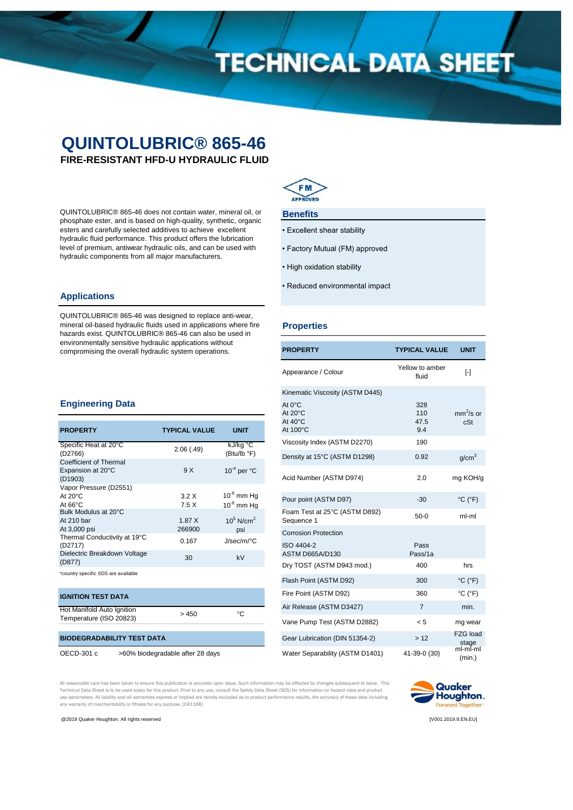# **TECHNICAL DATA SHEET**

### **QUINTOLUBRIC® 865-46**

**FIRE-RESISTANT HFD-U HYDRAULIC FLUID**

QUINTOLUBRIC® 865-46 does not contain water, mineral oil, or phosphate ester, and is based on high-quality, synthetic, organic esters and carefully selected additives to achieve excellent hydraulic fluid performance. This product offers the lubrication level of premium, antiwear hydraulic oils, and can be used with hydraulic components from all major manufacturers.

### **Applications**

QUINTOLUBRIC® 865-46 was designed to replace anti-wear, mineral oil-based hydraulic fluids used in applications where fire hazards exist. QUINTOLUBRIC® 865-46 can also be used in environmentally sensitive hydraulic applications without compromising the overall hydraulic system operations.



### **Benefits**

- Excellent shear stability
- Factory Mutual (FM) approved
- High oxidation stability
- Reduced environmental impact

**PROPERTY TYPICAL VALUE**

### **Properties**

| Appearance / Colour                                          | Yellow to amber<br>fluid  | $\lceil - \rceil$            |
|--------------------------------------------------------------|---------------------------|------------------------------|
| Kinematic Viscosity (ASTM D445)                              |                           |                              |
| At 0°C<br>At $20^{\circ}$ C<br>At $40^{\circ}$ C<br>At 100°C | 328<br>110<br>47.5<br>9.4 | $mm^2$ /s or<br>cSt          |
| Viscosity Index (ASTM D2270)                                 | 190                       |                              |
| Density at 15°C (ASTM D1298)                                 | 0.92                      | g/cm <sup>3</sup>            |
| Acid Number (ASTM D974)                                      | 2.0                       | mg KOH/g                     |
| Pour point (ASTM D97)                                        | $-30$                     | $^{\circ}$ C ( $^{\circ}$ F) |
| Foam Test at 25°C (ASTM D892)<br>Sequence 1                  | $50-0$                    | ml-ml                        |
| <b>Corrosion Protection</b>                                  |                           |                              |
| ISO 4404-2<br>ASTM D665A/D130                                | Pass<br>Pass/1a           |                              |
| Dry TOST (ASTM D943 mod.)                                    | 400                       | hrs                          |
| Flash Point (ASTM D92)                                       | 300                       | $^{\circ}$ C ( $^{\circ}$ F) |
| Fire Point (ASTM D92)                                        | 360                       | $^{\circ}$ C ( $^{\circ}$ F) |
| Air Release (ASTM D3427)                                     | $\overline{7}$            | min.                         |
| Vane Pump Test (ASTM D2882)                                  | < 5                       | mg wear                      |
| Gear Lubrication (DIN 51354-2)                               | >12                       | FZG load<br>stage            |
| Water Separability (ASTM D1401)                              | 41-39-0 (30)              | $ml$ -m $l$ -ml<br>(min.)    |

### **Engineering Data**

| <b>PROPERTY</b>                                                  | <b>TYPICAL VALUE</b> | UNIT                               |
|------------------------------------------------------------------|----------------------|------------------------------------|
| Specific Heat at 20°C<br>(D2766)                                 | 2.06(0.49)           | kJ/kg °C<br>(Btu/lb °F)            |
| <b>Coefficient of Thermal</b><br>Expansion at 20°C<br>(D1903)    | 9 X                  | $10^{-4}$ per $^{\circ}$ C         |
| Vapor Pressure (D2551)<br>At $20^{\circ}$ C<br>At $66^{\circ}$ C | 3.2X<br>7.5X         | $10^{-6}$ mm Hg<br>$10^{-6}$ mm Ha |
| Bulk Modulus at 20°C<br>At 210 bar<br>At 3,000 psi               | 1.87X<br>266900      | $10^5$ N/cm <sup>2</sup><br>psi    |
| Thermal Conductivity at 19°C<br>(D2717)                          | 0.167                | $J/sec/m$ <sup>o</sup> C           |
| Dielectric Breakdown Voltage<br>(D877)                           | 30                   | kV                                 |
| *country specific SDS are available                              |                      |                                    |

### **IGNITION TEST DATA**

Hot Manifold Auto Ignition<br>  $\rightarrow$  450 Temperature (ISO 20823)

### **BIODEGRADABILITY TEST DATA**

OECD-301 c >60% biodegradable after 28 days

All reasonable care has been taken to ensure this publication is accurate upon issue. Such information may be affected by changes subsequent to issue. This Technical Data Sheet is to be used solely for this product. Prior to any use, consult the Safety Data Sheet (SDS) for information on hazard risks and product<br>use parameters. All liability and all warranties express or impl any warranty of merchantability or fitness for any purpose. [041168]



@2019 Quaker Houghton. All rights reserved [V001.2019.9.EN.EU]

**UNIT**